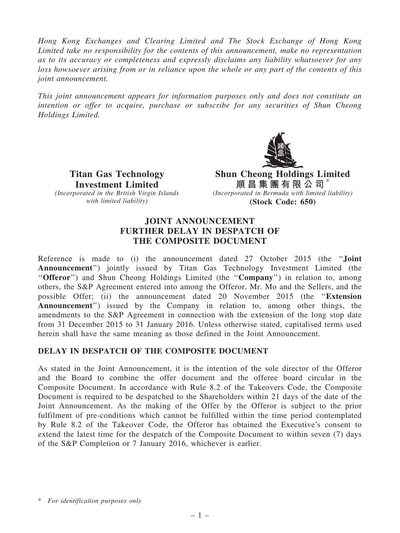Hong Kong Exchanges and Clearing Limited and The Stock Exchange of Hong Kong Limited take no responsibility for the contents of this announcement, make no representation as to its accuracy or completeness and expressly disclaims any liability whatsoever for any loss howsoever arising from or in reliance upon the whole or any part of the contents of this joint announcement.

This joint announcement appears for information purposes only and does not constitute an intention or offer to acquire, purchase or subscribe for any securities of Shun Cheong Holdings Limited.



Titan Gas Technology Investment Limited (Incorporated in the British Virgin Islands with limited liability)

Shun Cheong Holdings Limited 順 昌 集 團 有 限 公 司  $^*$ (Incorporated in Bermuda with limited liability) (Stock Code: 650)

## JOINT ANNOUNCEMENT FURTHER DELAY IN DESPATCH OF THE COMPOSITE DOCUMENT

Reference is made to (i) the announcement dated 27 October 2015 (the ''Joint Announcement'') jointly issued by Titan Gas Technology Investment Limited (the "Offeror") and Shun Cheong Holdings Limited (the "Company") in relation to, among others, the S&P Agreement entered into among the Offeror, Mr. Mo and the Sellers, and the possible Offer; (ii) the announcement dated 20 November 2015 (the ''Extension Announcement'') issued by the Company in relation to, among other things, the amendments to the S&P Agreement in connection with the extension of the long stop date from 31 December 2015 to 31 January 2016. Unless otherwise stated, capitalised terms used herein shall have the same meaning as those defined in the Joint Announcement.

## DELAY IN DESPATCH OF THE COMPOSITE DOCUMENT

As stated in the Joint Announcement, it is the intention of the sole director of the Offeror and the Board to combine the offer document and the offeree board circular in the Composite Document. In accordance with Rule 8.2 of the Takeovers Code, the Composite Document is required to be despatched to the Shareholders within 21 days of the date of the Joint Announcement. As the making of the Offer by the Offeror is subject to the prior fulfilment of pre-conditions which cannot be fulfilled within the time period contemplated by Rule 8.2 of the Takeover Code, the Offeror has obtained the Executive's consent to extend the latest time for the despatch of the Composite Document to within seven (7) days of the S&P Completion or 7 January 2016, whichever is earlier.

<sup>\*</sup> For identification purposes only